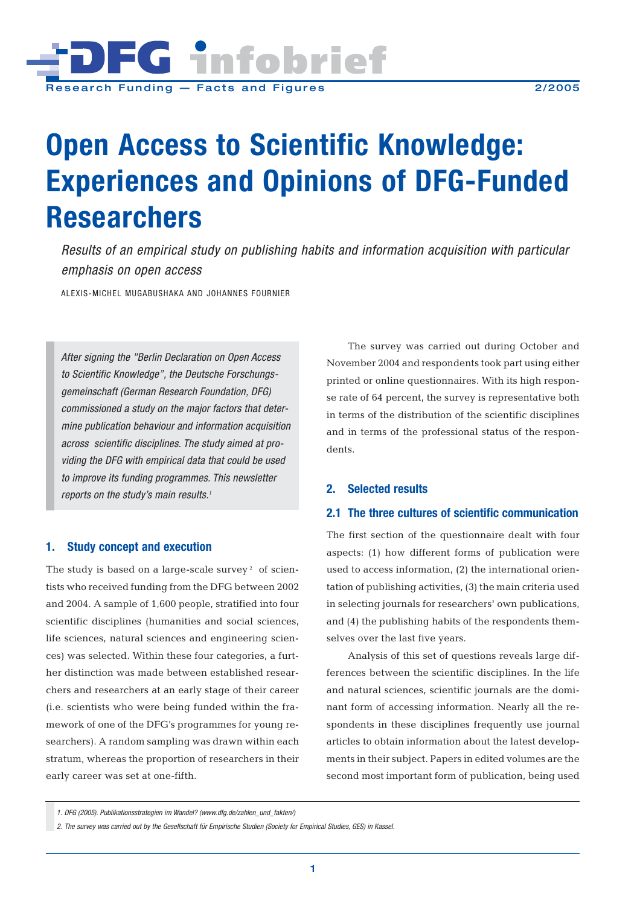

# **Open Access to Scientific Knowledge: Experiences and Opinions of DFG-Funded Researchers**

*Results of an empirical study on publishing habits and information acquisition with particular emphasis on open access*

ALEXIS-MICHEL MUGABUSHAKA AND JOHANNES FOURNIER

*After signing the "Berlin Declaration on Open Access to Scientific Knowledge", the Deutsche Forschungsgemeinschaft (German Research Foundation, DFG) commissioned a study on the major factors that determine publication behaviour and information acquisition across scientific disciplines. The study aimed at providing the DFG with empirical data that could be used to improve its funding programmes. This newsletter reports on the study's main results.1*

## **1. Study concept and execution**

The study is based on a large-scale survey<sup>2</sup> of scientists who received funding from the DFG between 2002 and 2004. A sample of 1,600 people, stratified into four scientific disciplines (humanities and social sciences, life sciences, natural sciences and engineering sciences) was selected. Within these four categories, a further distinction was made between established researchers and researchers at an early stage of their career (i.e. scientists who were being funded within the framework of one of the DFG's programmes for young researchers). A random sampling was drawn within each stratum, whereas the proportion of researchers in their early career was set at one-fifth.

The survey was carried out during October and November 2004 and respondents took part using either printed or online questionnaires. With its high response rate of 64 percent, the survey is representative both in terms of the distribution of the scientific disciplines and in terms of the professional status of the respondents.

## **2. Selected results**

## **2.1 The three cultures of scientific communication**

The first section of the questionnaire dealt with four aspects: (1) how different forms of publication were used to access information, (2) the international orientation of publishing activities, (3) the main criteria used in selecting journals for researchers' own publications, and (4) the publishing habits of the respondents themselves over the last five years.

Analysis of this set of questions reveals large differences between the scientific disciplines. In the life and natural sciences, scientific journals are the dominant form of accessing information. Nearly all the respondents in these disciplines frequently use journal articles to obtain information about the latest developments in their subject. Papers in edited volumes are the second most important form of publication, being used

*<sup>1.</sup> DFG (2005). Publikationsstrategien im Wandel? (www.dfg.de/zahlen\_und\_fakten/)*

*<sup>2.</sup> The survey was carried out by the Gesellschaft für Empirische Studien (Society for Empirical Studies, GES) in Kassel.*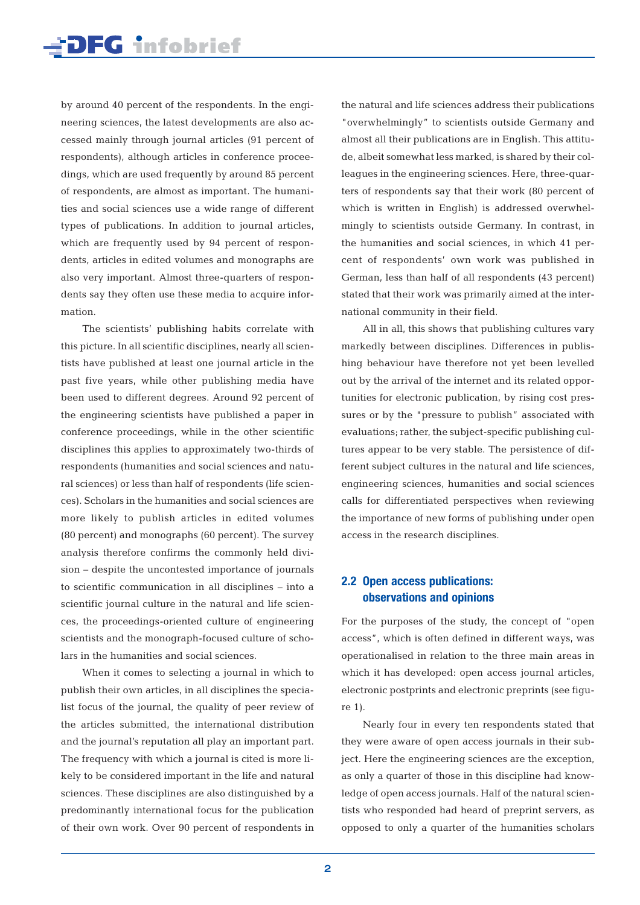by around 40 percent of the respondents. In the engineering sciences, the latest developments are also accessed mainly through journal articles (91 percent of respondents), although articles in conference proceedings, which are used frequently by around 85 percent of respondents, are almost as important. The humanities and social sciences use a wide range of different types of publications. In addition to journal articles, which are frequently used by 94 percent of respondents, articles in edited volumes and monographs are also very important. Almost three-quarters of respondents say they often use these media to acquire information.

The scientists' publishing habits correlate with this picture. In all scientific disciplines, nearly all scientists have published at least one journal article in the past five years, while other publishing media have been used to different degrees. Around 92 percent of the engineering scientists have published a paper in conference proceedings, while in the other scientific disciplines this applies to approximately two-thirds of respondents (humanities and social sciences and natural sciences) or less than half of respondents (life sciences). Scholars in the humanities and social sciences are more likely to publish articles in edited volumes (80 percent) and monographs (60 percent). The survey analysis therefore confirms the commonly held division – despite the uncontested importance of journals to scientific communication in all disciplines – into a scientific journal culture in the natural and life sciences, the proceedings-oriented culture of engineering scientists and the monograph-focused culture of scholars in the humanities and social sciences.

When it comes to selecting a journal in which to publish their own articles, in all disciplines the specialist focus of the journal, the quality of peer review of the articles submitted, the international distribution and the journal's reputation all play an important part. The frequency with which a journal is cited is more likely to be considered important in the life and natural sciences. These disciplines are also distinguished by a predominantly international focus for the publication of their own work. Over 90 percent of respondents in the natural and life sciences address their publications "overwhelmingly" to scientists outside Germany and almost all their publications are in English. This attitude, albeit somewhat less marked, is shared by their colleagues in the engineering sciences. Here, three-quarters of respondents say that their work (80 percent of which is written in English) is addressed overwhelmingly to scientists outside Germany. In contrast, in the humanities and social sciences, in which 41 percent of respondents' own work was published in German, less than half of all respondents (43 percent) stated that their work was primarily aimed at the international community in their field.

All in all, this shows that publishing cultures vary markedly between disciplines. Differences in publishing behaviour have therefore not yet been levelled out by the arrival of the internet and its related opportunities for electronic publication, by rising cost pressures or by the "pressure to publish" associated with evaluations; rather, the subject-specific publishing cultures appear to be very stable. The persistence of different subject cultures in the natural and life sciences, engineering sciences, humanities and social sciences calls for differentiated perspectives when reviewing the importance of new forms of publishing under open access in the research disciplines.

## **2.2 Open access publications: observations and opinions**

For the purposes of the study, the concept of "open access", which is often defined in different ways, was operationalised in relation to the three main areas in which it has developed: open access journal articles, electronic postprints and electronic preprints (see figure 1).

Nearly four in every ten respondents stated that they were aware of open access journals in their subject. Here the engineering sciences are the exception, as only a quarter of those in this discipline had knowledge of open access journals. Half of the natural scientists who responded had heard of preprint servers, as opposed to only a quarter of the humanities scholars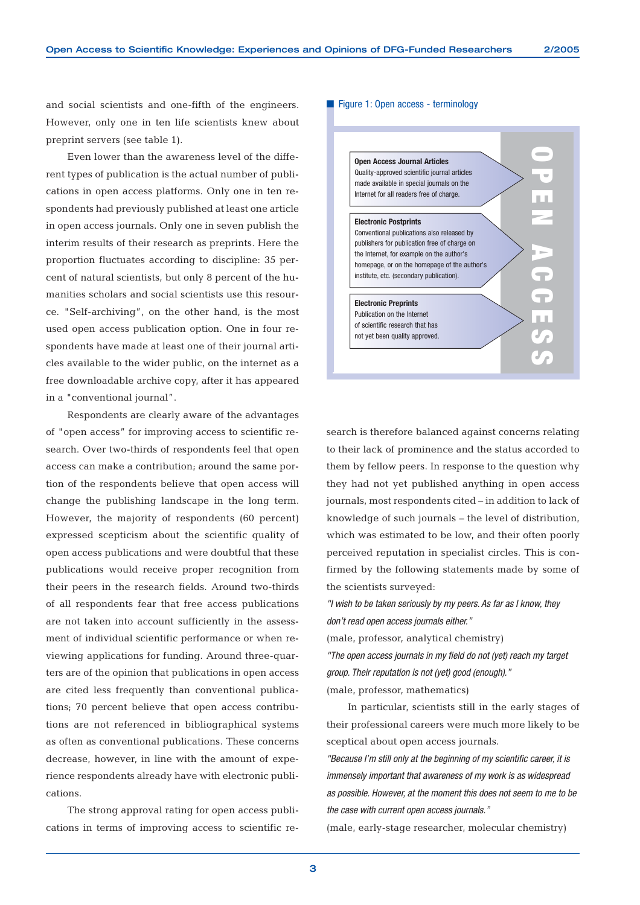and social scientists and one-fifth of the engineers. However, only one in ten life scientists knew about preprint servers (see table 1).

Even lower than the awareness level of the different types of publication is the actual number of publications in open access platforms. Only one in ten respondents had previously published at least one article in open access journals. Only one in seven publish the interim results of their research as preprints. Here the proportion fluctuates according to discipline: 35 percent of natural scientists, but only 8 percent of the humanities scholars and social scientists use this resource. "Self-archiving", on the other hand, is the most used open access publication option. One in four respondents have made at least one of their journal articles available to the wider public, on the internet as a free downloadable archive copy, after it has appeared in a "conventional journal".

Respondents are clearly aware of the advantages of "open access" for improving access to scientific research. Over two-thirds of respondents feel that open access can make a contribution; around the same portion of the respondents believe that open access will change the publishing landscape in the long term. However, the majority of respondents (60 percent) expressed scepticism about the scientific quality of open access publications and were doubtful that these publications would receive proper recognition from their peers in the research fields. Around two-thirds of all respondents fear that free access publications are not taken into account sufficiently in the assessment of individual scientific performance or when reviewing applications for funding. Around three-quarters are of the opinion that publications in open access are cited less frequently than conventional publications; 70 percent believe that open access contributions are not referenced in bibliographical systems as often as conventional publications. These concerns decrease, however, in line with the amount of experience respondents already have with electronic publications.

The strong approval rating for open access publications in terms of improving access to scientific re-

#### Figure 1: Open access - terminology



search is therefore balanced against concerns relating to their lack of prominence and the status accorded to them by fellow peers. In response to the question why they had not yet published anything in open access journals, most respondents cited – in addition to lack of knowledge of such journals – the level of distribution, which was estimated to be low, and their often poorly perceived reputation in specialist circles. This is confirmed by the following statements made by some of the scientists surveyed:

*"I wish to be taken seriously by my peers. As far as I know, they don't read open access journals either."*

(male, professor, analytical chemistry)

*"The open access journals in my field do not (yet) reach my target group. Their reputation is not (yet) good (enough)."* (male, professor, mathematics)

In particular, scientists still in the early stages of their professional careers were much more likely to be sceptical about open access journals.

*"Because I'm still only at the beginning of my scientific career, it is immensely important that awareness of my work is as widespread as possible. However, at the moment this does not seem to me to be the case with current open access journals."*

(male, early-stage researcher, molecular chemistry)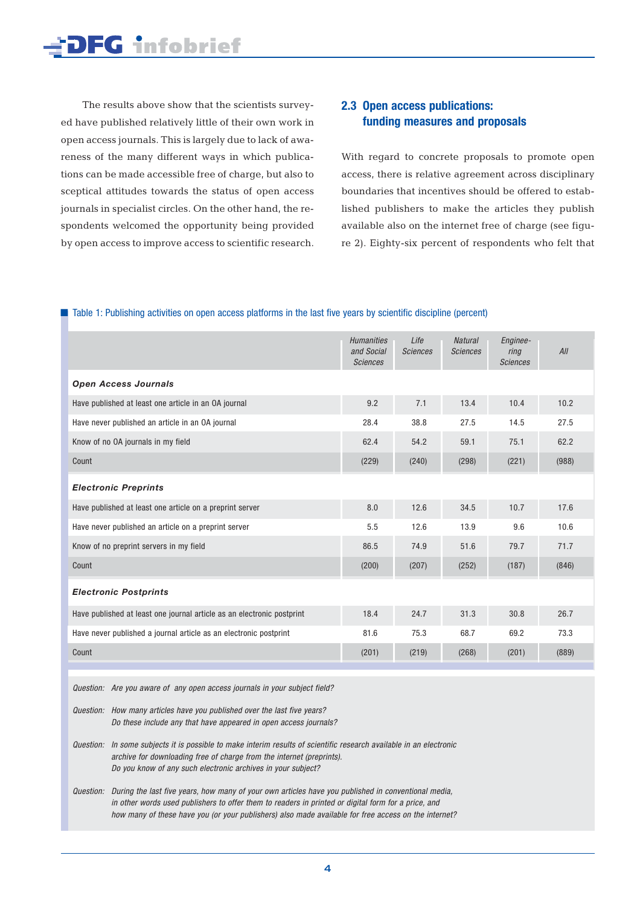The results above show that the scientists surveyed have published relatively little of their own work in open access journals. This is largely due to lack of awareness of the many different ways in which publications can be made accessible free of charge, but also to sceptical attitudes towards the status of open access journals in specialist circles. On the other hand, the respondents welcomed the opportunity being provided by open access to improve access to scientific research.

## **2.3 Open access publications: funding measures and proposals**

With regard to concrete proposals to promote open access, there is relative agreement across disciplinary boundaries that incentives should be offered to established publishers to make the articles they publish available also on the internet free of charge (see figure 2). Eighty-six percent of respondents who felt that

#### ■ Table 1: Publishing activities on open access platforms in the last five years by scientific discipline (percent)

|                                                                        | <b>Humanities</b><br>and Social<br><b>Sciences</b> | Life<br><b>Sciences</b> | <b>Natural</b><br><b>Sciences</b> | Enginee-<br>ring<br><b>Sciences</b> | All   |
|------------------------------------------------------------------------|----------------------------------------------------|-------------------------|-----------------------------------|-------------------------------------|-------|
| <b>Open Access Journals</b>                                            |                                                    |                         |                                   |                                     |       |
| Have published at least one article in an OA journal                   | 9.2                                                | 7.1                     | 13.4                              | 10.4                                | 10.2  |
| Have never published an article in an OA journal                       | 28.4                                               | 38.8                    | 27.5                              | 14.5                                | 27.5  |
| Know of no OA journals in my field                                     | 62.4                                               | 54.2                    | 59.1                              | 75.1                                | 62.2  |
| Count                                                                  | (229)                                              | (240)                   | (298)                             | (221)                               | (988) |
| <b>Electronic Preprints</b>                                            |                                                    |                         |                                   |                                     |       |
| Have published at least one article on a preprint server               | 8.0                                                | 12.6                    | 34.5                              | 10.7                                | 17.6  |
| Have never published an article on a preprint server                   | 5.5                                                | 12.6                    | 13.9                              | 9.6                                 | 10.6  |
| Know of no preprint servers in my field                                | 86.5                                               | 74.9                    | 51.6                              | 79.7                                | 71.7  |
| Count                                                                  | (200)                                              | (207)                   | (252)                             | (187)                               | (846) |
| <b>Electronic Postprints</b>                                           |                                                    |                         |                                   |                                     |       |
| Have published at least one journal article as an electronic postprint | 18.4                                               | 24.7                    | 31.3                              | 30.8                                | 26.7  |
| Have never published a journal article as an electronic postprint      | 81.6                                               | 75.3                    | 68.7                              | 69.2                                | 73.3  |
| Count                                                                  | (201)                                              | (219)                   | (268)                             | (201)                               | (889) |
|                                                                        |                                                    |                         |                                   |                                     |       |

*Question: Are you aware of any open access journals in your subject field?*

*Question: How many articles have you published over the last five years? Do these include any that have appeared in open access journals?*

*Question: In some subjects it is possible to make interim results of scientific research available in an electronic archive for downloading free of charge from the internet (preprints). Do you know of any such electronic archives in your subject?*

*Question: During the last five years, how many of your own articles have you published in conventional media, in other words used publishers to offer them to readers in printed or digital form for a price, and how many of these have you (or your publishers) also made available for free access on the internet?*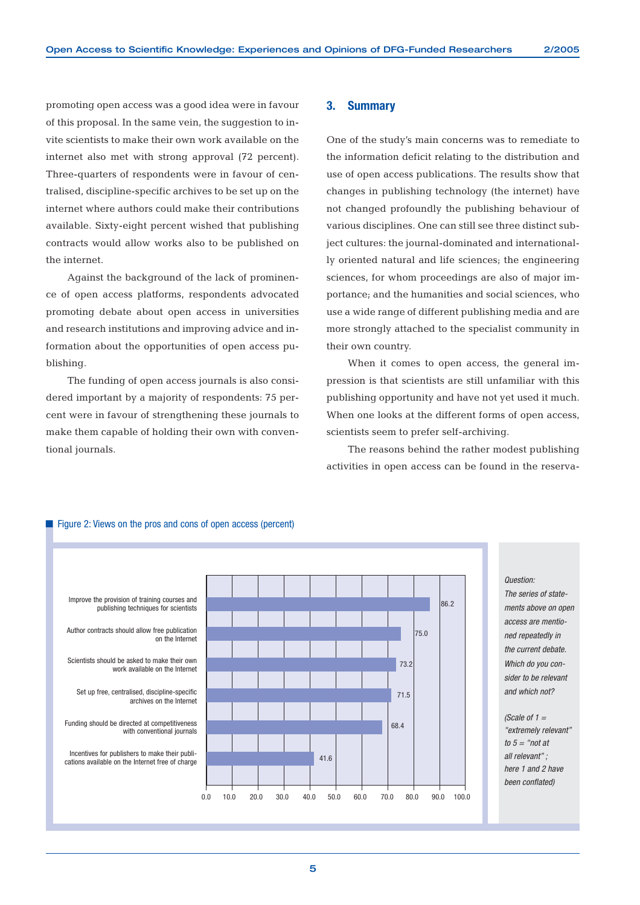promoting open access was a good idea were in favour of this proposal. In the same vein, the suggestion to invite scientists to make their own work available on the internet also met with strong approval (72 percent). Three-quarters of respondents were in favour of centralised, discipline-specific archives to be set up on the internet where authors could make their contributions available. Sixty-eight percent wished that publishing contracts would allow works also to be published on the internet.

Against the background of the lack of prominence of open access platforms, respondents advocated promoting debate about open access in universities and research institutions and improving advice and information about the opportunities of open access publishing.

The funding of open access journals is also considered important by a majority of respondents: 75 percent were in favour of strengthening these journals to make them capable of holding their own with conventional journals.

#### **3. Summary**

One of the study's main concerns was to remediate to the information deficit relating to the distribution and use of open access publications. The results show that changes in publishing technology (the internet) have not changed profoundly the publishing behaviour of various disciplines. One can still see three distinct subject cultures: the journal-dominated and internationally oriented natural and life sciences; the engineering sciences, for whom proceedings are also of major importance; and the humanities and social sciences, who use a wide range of different publishing media and are more strongly attached to the specialist community in their own country.

When it comes to open access, the general impression is that scientists are still unfamiliar with this publishing opportunity and have not yet used it much. When one looks at the different forms of open access, scientists seem to prefer self-archiving.

The reasons behind the rather modest publishing activities in open access can be found in the reserva-



### ■ Figure 2: Views on the pros and cons of open access (percent)

*The series of statements above on open access are mentioned repeatedly in the current debate. Which do you consider to be relevant and which not?* 

*<sup>(</sup>Scale of 1 = "extremely relevant" to 5 = "not at all relevant" ; here 1 and 2 have been conflated)*